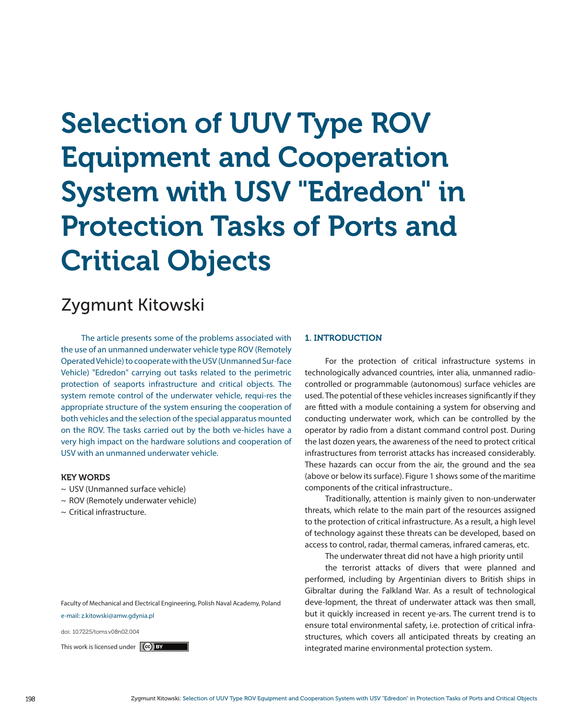# Selection of UUV Type ROV Equipment and Cooperation System with USV "Edredon" in Protection Tasks of Ports and Critical Objects

# Zygmunt Kitowski

The article presents some of the problems associated with the use of an unmanned underwater vehicle type ROV (Remotely Operated Vehicle) to cooperate with the USV (Unmanned Sur-face Vehicle) "Edredon" carrying out tasks related to the perimetric protection of seaports infrastructure and critical objects. The system remote control of the underwater vehicle, requi-res the appropriate structure of the system ensuring the cooperation of both vehicles and the selection of the special apparatus mounted on the ROV. The tasks carried out by the both ve-hicles have a very high impact on the hardware solutions and cooperation of USV with an unmanned underwater vehicle.

### KEY WORDS

- ~ USV (Unmanned surface vehicle)
- ~ ROV (Remotely underwater vehicle)
- ~ Critical infrastructure.

Faculty of Mechanical and Electrical Engineering, Polish Naval Academy, Poland e-mail: z.kitowski@amw.gdynia.pl

doi: 10.7225/toms.v08n02.004

#### 1. INTRODUCTION

For the protection of critical infrastructure systems in technologically advanced countries, inter alia, unmanned radiocontrolled or programmable (autonomous) surface vehicles are used. The potential of these vehicles increases significantly if they are fitted with a module containing a system for observing and conducting underwater work, which can be controlled by the operator by radio from a distant command control post. During the last dozen years, the awareness of the need to protect critical infrastructures from terrorist attacks has increased considerably. These hazards can occur from the air, the ground and the sea (above or below its surface). Figure 1 shows some of the maritime components of the critical infrastructure..

Traditionally, attention is mainly given to non-underwater threats, which relate to the main part of the resources assigned to the protection of critical infrastructure. As a result, a high level of technology against these threats can be developed, based on access to control, radar, thermal cameras, infrared cameras, etc.

The underwater threat did not have a high priority until

the terrorist attacks of divers that were planned and performed, including by Argentinian divers to British ships in Gibraltar during the Falkland War. As a result of technological deve-lopment, the threat of underwater attack was then small, but it quickly increased in recent ye-ars. The current trend is to ensure total environmental safety, i.e. protection of critical infrastructures, which covers all anticipated threats by creating an This work is licensed under  $\left[\text{ce}\right]$  **EY** example 2011 11 and the integrated marine environmental protection system.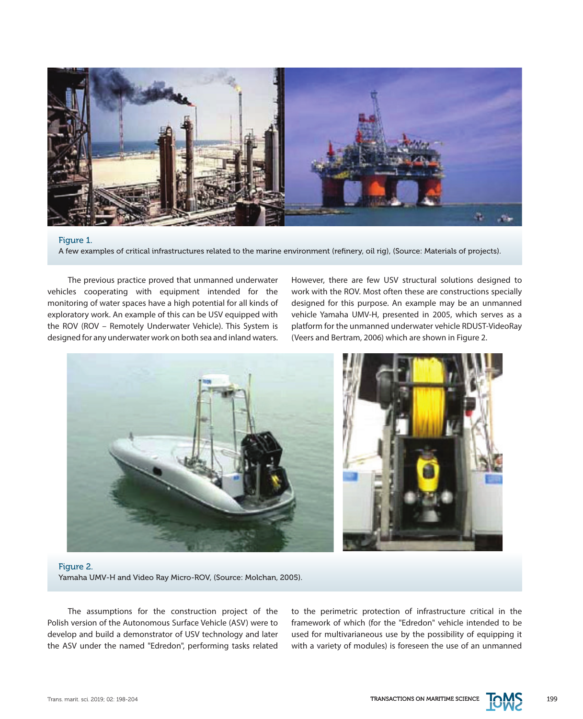

## Figure 1.

A few examples of critical infrastructures related to the marine environment (refinery, oil rig), (Source: Materials of projects).

The previous practice proved that unmanned underwater vehicles cooperating with equipment intended for the monitoring of water spaces have a high potential for all kinds of exploratory work. An example of this can be USV equipped with the ROV (ROV – Remotely Underwater Vehicle). This System is designed for any underwater work on both sea and inland waters. However, there are few USV structural solutions designed to work with the ROV. Most often these are constructions specially designed for this purpose. An example may be an unmanned vehicle Yamaha UMV-H, presented in 2005, which serves as a platform for the unmanned underwater vehicle RDUST-VideoRay (Veers and Bertram, 2006) which are shown in Figure 2.



Figure 2. Yamaha UMV-H and Video Ray Micro-ROV, (Source: Molchan, 2005).

The assumptions for the construction project of the Polish version of the Autonomous Surface Vehicle (ASV) were to develop and build a demonstrator of USV technology and later the ASV under the named "Edredon", performing tasks related

to the perimetric protection of infrastructure critical in the framework of which (for the "Edredon" vehicle intended to be used for multivarianeous use by the possibility of equipping it with a variety of modules) is foreseen the use of an unmanned

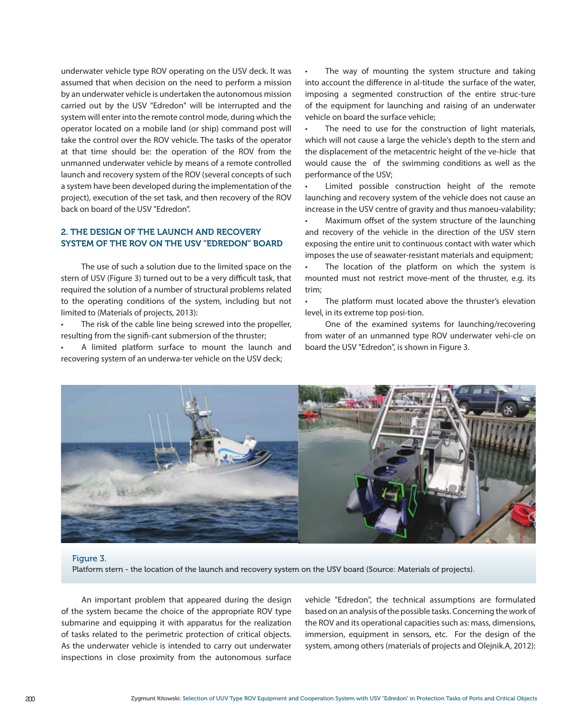underwater vehicle type ROV operating on the USV deck. It was assumed that when decision on the need to perform a mission by an underwater vehicle is undertaken the autonomous mission carried out by the USV "Edredon" will be interrupted and the system will enter into the remote control mode, during which the operator located on a mobile land (or ship) command post will take the control over the ROV vehicle. The tasks of the operator at that time should be: the operation of the ROV from the unmanned underwater vehicle by means of a remote controlled launch and recovery system of the ROV (several concepts of such a system have been developed during the implementation of the project), execution of the set task, and then recovery of the ROV back on board of the USV "Edredon".

# 2. THE DESIGN OF THE LAUNCH AND RECOVERY SYSTEM OF THE ROV ON THE USV "EDREDON" BOARD

The use of such a solution due to the limited space on the stern of USV (Figure 3) turned out to be a very difficult task, that required the solution of a number of structural problems related to the operating conditions of the system, including but not limited to (Materials of projects, 2013):

The risk of the cable line being screwed into the propeller, resulting from the signifi-cant submersion of the thruster;

A limited platform surface to mount the launch and recovering system of an underwa-ter vehicle on the USV deck;

The way of mounting the system structure and taking into account the difference in al-titude the surface of the water, imposing a segmented construction of the entire struc-ture of the equipment for launching and raising of an underwater vehicle on board the surface vehicle;

The need to use for the construction of light materials, which will not cause a large the vehicle's depth to the stern and the displacement of the metacentric height of the ve-hicle that would cause the of the swimming conditions as well as the performance of the USV;

Limited possible construction height of the remote launching and recovery system of the vehicle does not cause an increase in the USV centre of gravity and thus manoeu-valability;

• Maximum offset of the system structure of the launching and recovery of the vehicle in the direction of the USV stern exposing the entire unit to continuous contact with water which imposes the use of seawater-resistant materials and equipment;

The location of the platform on which the system is mounted must not restrict move-ment of the thruster, e.g. its trim;

The platform must located above the thruster's elevation level, in its extreme top posi-tion.

One of the examined systems for launching/recovering from water of an unmanned type ROV underwater vehi-cle on board the USV "Edredon", is shown in Figure 3.



#### Figure 3.

Platform stern - the location of the launch and recovery system on the USV board (Source: Materials of projects).

An important problem that appeared during the design of the system became the choice of the appropriate ROV type submarine and equipping it with apparatus for the realization of tasks related to the perimetric protection of critical objects. As the underwater vehicle is intended to carry out underwater inspections in close proximity from the autonomous surface vehicle "Edredon", the technical assumptions are formulated based on an analysis of the possible tasks. Concerning the work of the ROV and its operational capacities such as: mass, dimensions, immersion, equipment in sensors, etc. For the design of the system, among others (materials of projects and Olejnik.A, 2012):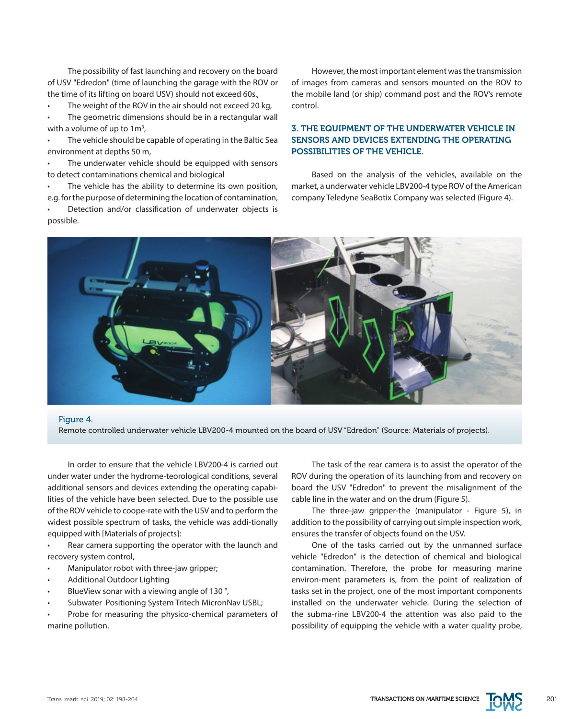The possibility of fast launching and recovery on the board of USV "Edredon" (time of launching the garage with the ROV or the time of its lifting on board USV) should not exceed 60s.,

The weight of the ROV in the air should not exceed 20 kg,

The geometric dimensions should be in a rectangular wall with a volume of up to 1 $\mathsf{m}^{\mathsf{3}},$ 

The vehicle should be capable of operating in the Baltic Sea environment at depths 50 m,

• The underwater vehicle should be equipped with sensors to detect contaminations chemical and biological

The vehicle has the ability to determine its own position, e.g. for the purpose of determining the location of contamination,

Detection and/or classification of underwater objects is possible.

However, the most important element was the transmission of images from cameras and sensors mounted on the ROV to the mobile land (or ship) command post and the ROV's remote control.

# 3. THE EQUIPMENT OF THE UNDERWATER VEHICLE IN SENSORS AND DEVICES EXTENDING THE OPERATING POSSIBILITIES OF THE VEHICLE.

Based on the analysis of the vehicles, available on the market, a underwater vehicle LBV200-4 type ROV of the American company Teledyne SeaBotix Company was selected (Figure 4).



#### Figure 4.

Remote controlled underwater vehicle LBV200-4 mounted on the board of USV "Edredon" (Source: Materials of projects).

In order to ensure that the vehicle LBV200-4 is carried out under water under the hydrome-teorological conditions, several additional sensors and devices extending the operating capabilities of the vehicle have been selected. Due to the possible use of the ROV vehicle to coope-rate with the USV and to perform the widest possible spectrum of tasks, the vehicle was addi-tionally equipped with [Materials of projects]:

Rear camera supporting the operator with the launch and recovery system control,

- Manipulator robot with three-jaw gripper;
- **Additional Outdoor Lighting**
- BlueView sonar with a viewing angle of 130 °,
- Subwater Positioning System Tritech MicronNav USBL;

Probe for measuring the physico-chemical parameters of marine pollution.

The task of the rear camera is to assist the operator of the ROV during the operation of its launching from and recovery on board the USV "Edredon" to prevent the misalignment of the cable line in the water and on the drum (Figure 5).

The three-jaw gripper-the (manipulator - Figure 5), in addition to the possibility of carrying out simple inspection work, ensures the transfer of objects found on the USV.

One of the tasks carried out by the unmanned surface vehicle "Edredon" is the detection of chemical and biological contamination. Therefore, the probe for measuring marine environ-ment parameters is, from the point of realization of tasks set in the project, one of the most important components installed on the underwater vehicle. During the selection of the subma-rine LBV200-4 the attention was also paid to the possibility of equipping the vehicle with a water quality probe,

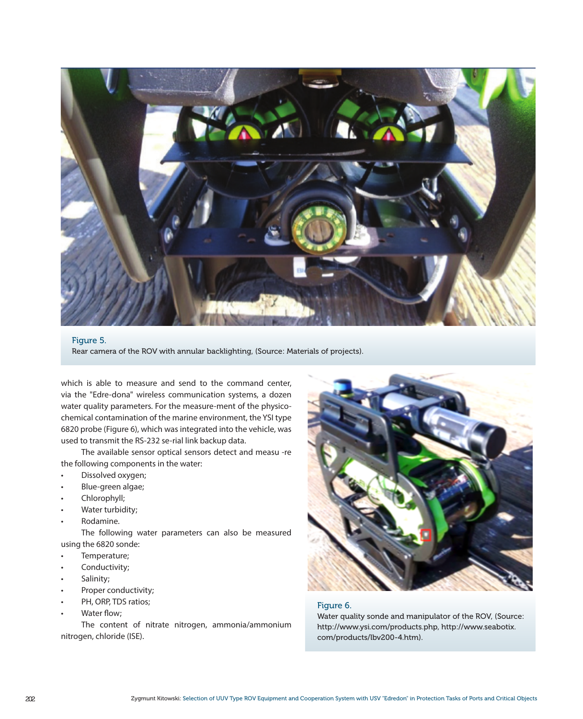

#### Figure 5.

Rear camera of the ROV with annular backlighting, (Source: Materials of projects).

which is able to measure and send to the command center, via the "Edre-dona" wireless communication systems, a dozen water quality parameters. For the measure-ment of the physicochemical contamination of the marine environment, the YSI type 6820 probe (Figure 6), which was integrated into the vehicle, was used to transmit the RS-232 se-rial link backup data.

The available sensor optical sensors detect and measu -re the following components in the water:

- Dissolved oxygen;
- Blue-green algae;
- Chlorophyll:
- Water turbidity;
- Rodamine.

The following water parameters can also be measured using the 6820 sonde:

- Temperature:
- Conductivity;
- Salinity;
- Proper conductivity;
- PH, ORP, TDS ratios:
- Water flow;

The content of nitrate nitrogen, ammonia/ammonium nitrogen, chloride (ISE).



# Figure 6.

Water quality sonde and manipulator of the ROV, (Source: http://www.ysi.com/products.php, http://www.seabotix. com/products/lbv200-4.htm).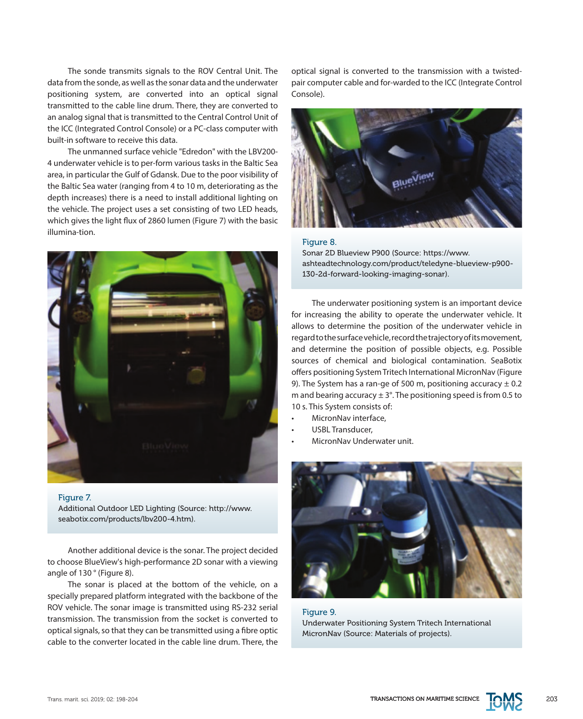The sonde transmits signals to the ROV Central Unit. The data from the sonde, as well as the sonar data and the underwater positioning system, are converted into an optical signal transmitted to the cable line drum. There, they are converted to an analog signal that is transmitted to the Central Control Unit of the ICC (Integrated Control Console) or a PC-class computer with built-in software to receive this data.

The unmanned surface vehicle "Edredon" with the LBV200- 4 underwater vehicle is to per-form various tasks in the Baltic Sea area, in particular the Gulf of Gdansk. Due to the poor visibility of the Baltic Sea water (ranging from 4 to 10 m, deteriorating as the depth increases) there is a need to install additional lighting on the vehicle. The project uses a set consisting of two LED heads, which gives the light flux of 2860 lumen (Figure 7) with the basic illumina-tion.



#### Figure 7.

Additional Outdoor LED Lighting (Source: http://www. seabotix.com/products/lbv200-4.htm).

Another additional device is the sonar. The project decided to choose BlueView's high-performance 2D sonar with a viewing angle of 130 ° (Figure 8).

The sonar is placed at the bottom of the vehicle, on a specially prepared platform integrated with the backbone of the ROV vehicle. The sonar image is transmitted using RS-232 serial transmission. The transmission from the socket is converted to optical signals, so that they can be transmitted using a fibre optic cable to the converter located in the cable line drum. There, the optical signal is converted to the transmission with a twistedpair computer cable and for-warded to the ICC (Integrate Control Console).



# Figure 8.

Sonar 2D Blueview P900 (Source: https://www. ashteadtechnology.com/product/teledyne-blueview-p900- 130-2d-forward-looking-imaging-sonar).

The underwater positioning system is an important device for increasing the ability to operate the underwater vehicle. It allows to determine the position of the underwater vehicle in regard to the surface vehicle, record the trajectory of its movement, and determine the position of possible objects, e.g. Possible sources of chemical and biological contamination. SeaBotix offers positioning System Tritech International MicronNav (Figure 9). The System has a ran-ge of 500 m, positioning accuracy  $\pm$  0.2 m and bearing accuracy  $\pm$  3°. The positioning speed is from 0.5 to 10 s. This System consists of:

- MicronNav interface.
- USBL Transducer.
- MicronNav Underwater unit.



Figure 9. Underwater Positioning System Tritech International MicronNav (Source: Materials of projects).